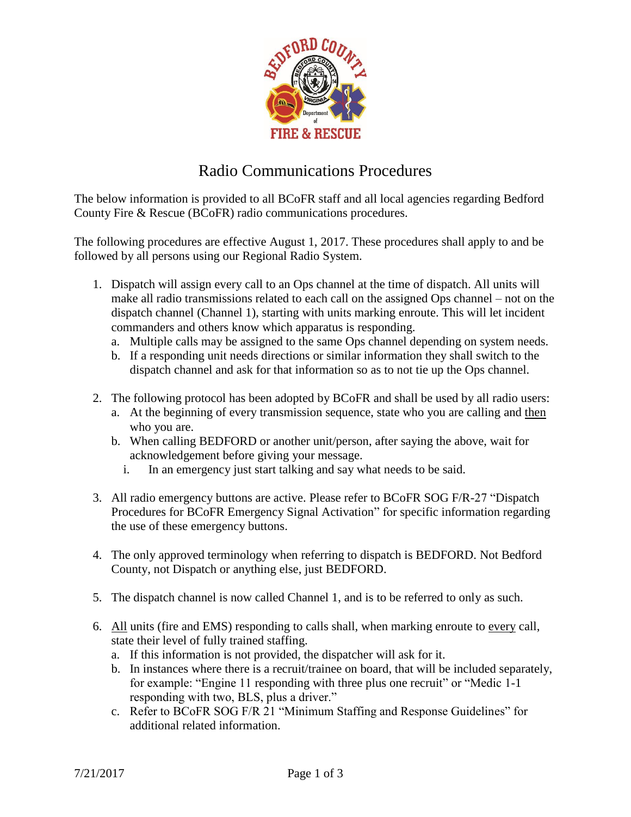

## Radio Communications Procedures

The below information is provided to all BCoFR staff and all local agencies regarding Bedford County Fire & Rescue (BCoFR) radio communications procedures.

The following procedures are effective August 1, 2017. These procedures shall apply to and be followed by all persons using our Regional Radio System.

- 1. Dispatch will assign every call to an Ops channel at the time of dispatch. All units will make all radio transmissions related to each call on the assigned Ops channel – not on the dispatch channel (Channel 1), starting with units marking enroute. This will let incident commanders and others know which apparatus is responding.
	- a. Multiple calls may be assigned to the same Ops channel depending on system needs.
	- b. If a responding unit needs directions or similar information they shall switch to the dispatch channel and ask for that information so as to not tie up the Ops channel.
- 2. The following protocol has been adopted by BCoFR and shall be used by all radio users:
	- a. At the beginning of every transmission sequence, state who you are calling and then who you are.
	- b. When calling BEDFORD or another unit/person, after saying the above, wait for acknowledgement before giving your message.
		- i. In an emergency just start talking and say what needs to be said.
- 3. All radio emergency buttons are active. Please refer to BCoFR SOG F/R-27 "Dispatch Procedures for BCoFR Emergency Signal Activation" for specific information regarding the use of these emergency buttons.
- 4. The only approved terminology when referring to dispatch is BEDFORD. Not Bedford County, not Dispatch or anything else, just BEDFORD.
- 5. The dispatch channel is now called Channel 1, and is to be referred to only as such.
- 6. All units (fire and EMS) responding to calls shall, when marking enroute to every call, state their level of fully trained staffing.
	- a. If this information is not provided, the dispatcher will ask for it.
	- b. In instances where there is a recruit/trainee on board, that will be included separately, for example: "Engine 11 responding with three plus one recruit" or "Medic 1-1 responding with two, BLS, plus a driver."
	- c. Refer to BCoFR SOG F/R 21 "Minimum Staffing and Response Guidelines" for additional related information.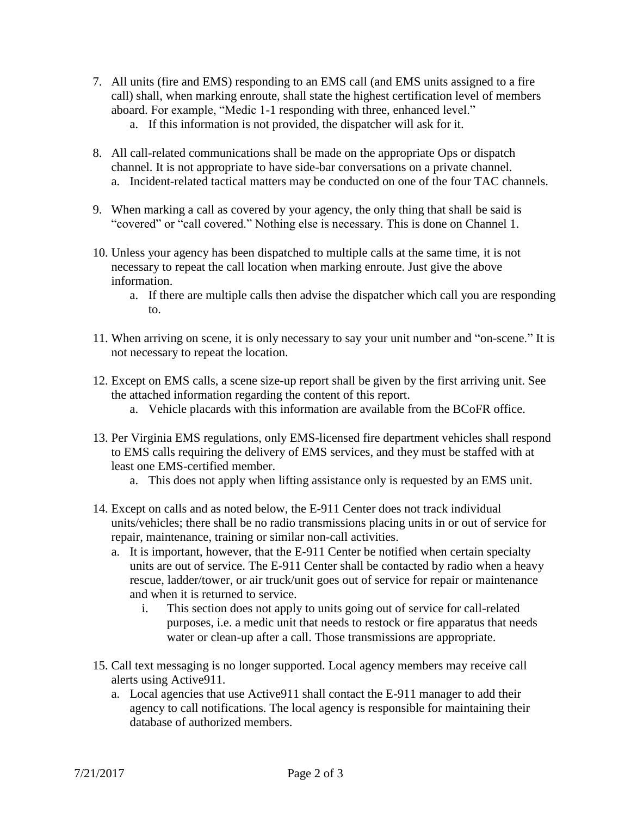- 7. All units (fire and EMS) responding to an EMS call (and EMS units assigned to a fire call) shall, when marking enroute, shall state the highest certification level of members aboard. For example, "Medic 1-1 responding with three, enhanced level."
	- a. If this information is not provided, the dispatcher will ask for it.
- 8. All call-related communications shall be made on the appropriate Ops or dispatch channel. It is not appropriate to have side-bar conversations on a private channel. a. Incident-related tactical matters may be conducted on one of the four TAC channels.
- 9. When marking a call as covered by your agency, the only thing that shall be said is "covered" or "call covered." Nothing else is necessary. This is done on Channel 1.
- 10. Unless your agency has been dispatched to multiple calls at the same time, it is not necessary to repeat the call location when marking enroute. Just give the above information.
	- a. If there are multiple calls then advise the dispatcher which call you are responding to.
- 11. When arriving on scene, it is only necessary to say your unit number and "on-scene." It is not necessary to repeat the location.
- 12. Except on EMS calls, a scene size-up report shall be given by the first arriving unit. See the attached information regarding the content of this report.
	- a. Vehicle placards with this information are available from the BCoFR office.
- 13. Per Virginia EMS regulations, only EMS-licensed fire department vehicles shall respond to EMS calls requiring the delivery of EMS services, and they must be staffed with at least one EMS-certified member.
	- a. This does not apply when lifting assistance only is requested by an EMS unit.
- 14. Except on calls and as noted below, the E-911 Center does not track individual units/vehicles; there shall be no radio transmissions placing units in or out of service for repair, maintenance, training or similar non-call activities.
	- a. It is important, however, that the E-911 Center be notified when certain specialty units are out of service. The E-911 Center shall be contacted by radio when a heavy rescue, ladder/tower, or air truck/unit goes out of service for repair or maintenance and when it is returned to service.
		- i. This section does not apply to units going out of service for call-related purposes, i.e. a medic unit that needs to restock or fire apparatus that needs water or clean-up after a call. Those transmissions are appropriate.
- 15. Call text messaging is no longer supported. Local agency members may receive call alerts using Active911.
	- a. Local agencies that use Active911 shall contact the E-911 manager to add their agency to call notifications. The local agency is responsible for maintaining their database of authorized members.